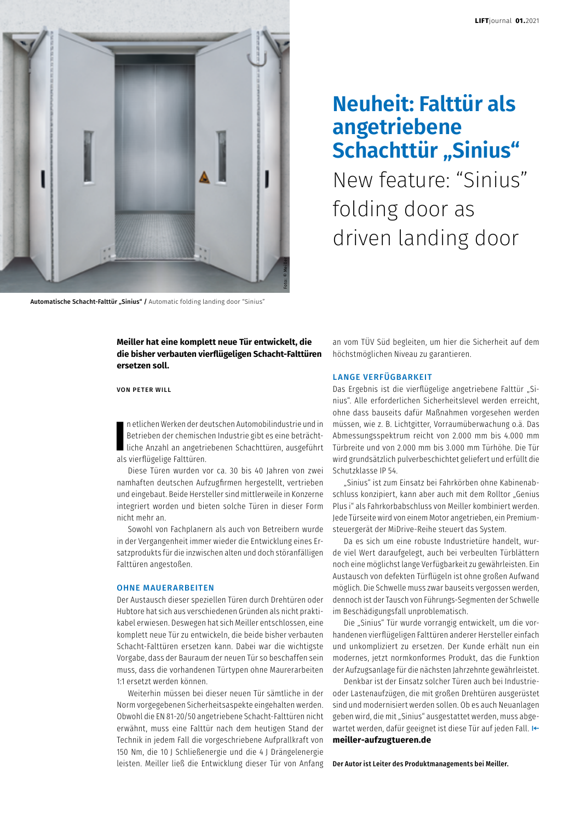

Automatische Schacht-Falttür "Sinius" / Automatic folding landing door "Sinius"

# **Neuheit: Falttür als angetriebene Schachttür "Sinius"**

New feature: "Sinius" folding door as driven landing door

**Meiller hat eine komplett neue Tür entwickelt, die die bisher verbauten vierflügeligen Schacht-Falttüren ersetzen soll.**

VON PETER WILL

**II** n etlichen Werken der de<br>Betrieben der chemisch<br>Liche Anzahl an angetri<br>als vierflügelige Falttüren. n etlichen Werken der deutschen Automobilindustrie und in Betrieben der chemischen Industrie gibt es eine beträchtliche Anzahl an angetriebenen Schachttüren, ausgeführt

Diese Türen wurden vor ca. 30 bis 40 Jahren von zwei namhaften deutschen Aufzugfirmen hergestellt, vertrieben und eingebaut. Beide Hersteller sind mittlerweile in Konzerne integriert worden und bieten solche Türen in dieser Form nicht mehr an.

Sowohl von Fachplanern als auch von Betreibern wurde in der Vergangenheit immer wieder die Entwicklung eines Ersatzprodukts für die inzwischen alten und doch störanfälligen Falttüren angestoßen.

#### OHNE MAUERARBEITEN

Der Austausch dieser speziellen Türen durch Drehtüren oder Hubtore hat sich aus verschiedenen Gründen als nicht praktikabel erwiesen. Deswegen hat sich Meiller entschlossen, eine komplett neue Tür zu entwickeln, die beide bisher verbauten Schacht-Falttüren ersetzen kann. Dabei war die wichtigste Vorgabe, dass der Bauraum der neuen Tür so beschaffen sein muss, dass die vorhandenen Türtypen ohne Maurerarbeiten 1:1 ersetzt werden können.

Weiterhin müssen bei dieser neuen Tür sämtliche in der Norm vorgegebenen Sicherheitsaspekte eingehalten werden. Obwohl die EN 81-20/50 angetriebene Schacht-Falttüren nicht erwähnt, muss eine Falttür nach dem heutigen Stand der Technik in jedem Fall die vorgeschriebene Aufprallkraft von 150 Nm, die 10 J Schließenergie und die 4 J Drängelenergie leisten. Meiller ließ die Entwicklung dieser Tür von Anfang

an vom TÜV Süd begleiten, um hier die Sicherheit auf dem höchstmöglichen Niveau zu garantieren.

# LANGE VERFÜGBARKEIT

Das Ergebnis ist die vierflügelige angetriebene Falttür "Sinius". Alle erforderlichen Sicherheitslevel werden erreicht, ohne dass bauseits dafür Maßnahmen vorgesehen werden müssen, wie z. B. Lichtgitter, Vorraumüberwachung o.ä. Das Abmessungsspektrum reicht von 2.000 mm bis 4.000 mm Türbreite und von 2.000 mm bis 3.000 mm Türhöhe. Die Tür wird grundsätzlich pulverbeschichtet geliefert und erfüllt die Schutzklasse IP 54.

"Sinius" ist zum Einsatz bei Fahrkörben ohne Kabinenabschluss konzipiert, kann aber auch mit dem Rolltor "Genius Plus i" als Fahrkorbabschluss von Meiller kombiniert werden. Jede Türseite wird von einem Motor angetrieben, ein Premiumsteuergerät der MiDrive-Reihe steuert das System.

Da es sich um eine robuste Industrietüre handelt, wurde viel Wert daraufgelegt, auch bei verbeulten Türblättern noch eine möglichst lange Verfügbarkeit zu gewährleisten. Ein Austausch von defekten Türflügeln ist ohne großen Aufwand möglich. Die Schwelle muss zwar bauseits vergossen werden, dennoch ist der Tausch von Führungs-Segmenten der Schwelle im Beschädigungsfall unproblematisch.

Die "Sinius" Tür wurde vorrangig entwickelt, um die vorhandenen vierflügeligen Falttüren anderer Hersteller einfach und unkompliziert zu ersetzen. Der Kunde erhält nun ein modernes, jetzt normkonformes Produkt, das die Funktion der Aufzugsanlage für die nächsten Jahrzehnte gewährleistet.

Denkbar ist der Einsatz solcher Türen auch bei Industrieoder Lastenaufzügen, die mit großen Drehtüren ausgerüstet sind und modernisiert werden sollen. Ob es auch Neuanlagen geben wird, die mit "Sinius" ausgestattet werden, muss abgewartet werden, dafür geeignet ist diese Tür auf jeden Fall. I← **meiller-aufzugtueren.de**

Der Autor ist Leiter des Produktmanagements bei Meiller.